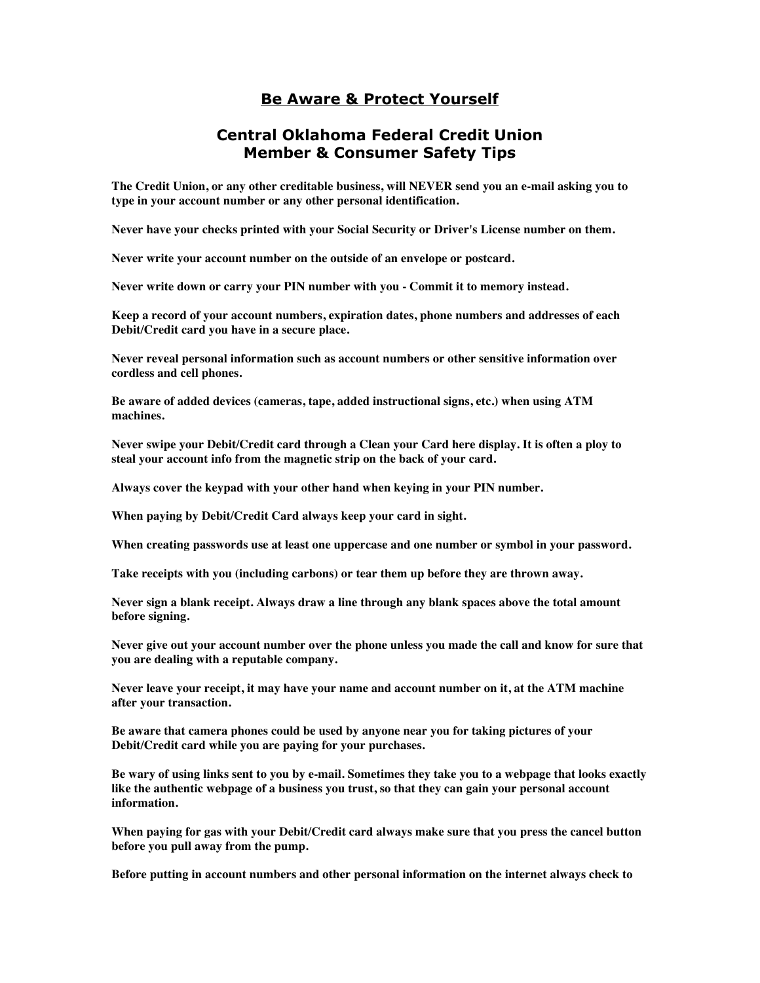## **Be Aware & Protect Yourself**

## **Central Oklahoma Federal Credit Union Member & Consumer Safety Tips**

**The Credit Union, or any other creditable business, will NEVER send you an e-mail asking you to type in your account number or any other personal identification.** 

**Never have your checks printed with your Social Security or Driver's License number on them.** 

**Never write your account number on the outside of an envelope or postcard.** 

**Never write down or carry your PIN number with you - Commit it to memory instead.** 

**Keep a record of your account numbers, expiration dates, phone numbers and addresses of each Debit/Credit card you have in a secure place.** 

**Never reveal personal information such as account numbers or other sensitive information over cordless and cell phones.** 

**Be aware of added devices (cameras, tape, added instructional signs, etc.) when using ATM machines.** 

**Never swipe your Debit/Credit card through a Clean your Card here display. It is often a ploy to steal your account info from the magnetic strip on the back of your card.** 

**Always cover the keypad with your other hand when keying in your PIN number.** 

**When paying by Debit/Credit Card always keep your card in sight.** 

**When creating passwords use at least one uppercase and one number or symbol in your password.** 

**Take receipts with you (including carbons) or tear them up before they are thrown away.** 

**Never sign a blank receipt. Always draw a line through any blank spaces above the total amount before signing.** 

**Never give out your account number over the phone unless you made the call and know for sure that you are dealing with a reputable company.** 

**Never leave your receipt, it may have your name and account number on it, at the ATM machine after your transaction.** 

**Be aware that camera phones could be used by anyone near you for taking pictures of your Debit/Credit card while you are paying for your purchases.** 

**Be wary of using links sent to you by e-mail. Sometimes they take you to a webpage that looks exactly like the authentic webpage of a business you trust, so that they can gain your personal account information.** 

**When paying for gas with your Debit/Credit card always make sure that you press the cancel button before you pull away from the pump.** 

**Before putting in account numbers and other personal information on the internet always check to**